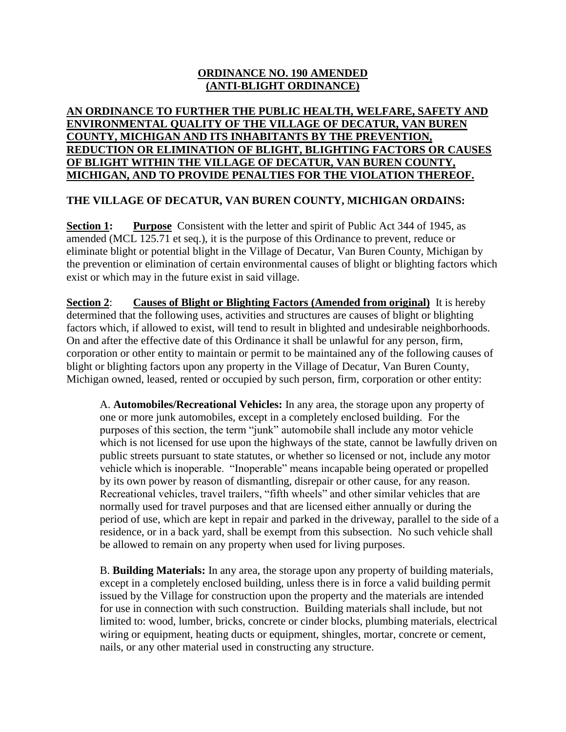## **ORDINANCE NO. 190 AMENDED (ANTI-BLIGHT ORDINANCE)**

## **AN ORDINANCE TO FURTHER THE PUBLIC HEALTH, WELFARE, SAFETY AND ENVIRONMENTAL QUALITY OF THE VILLAGE OF DECATUR, VAN BUREN COUNTY, MICHIGAN AND ITS INHABITANTS BY THE PREVENTION, REDUCTION OR ELIMINATION OF BLIGHT, BLIGHTING FACTORS OR CAUSES OF BLIGHT WITHIN THE VILLAGE OF DECATUR, VAN BUREN COUNTY, MICHIGAN, AND TO PROVIDE PENALTIES FOR THE VIOLATION THEREOF.**

## **THE VILLAGE OF DECATUR, VAN BUREN COUNTY, MICHIGAN ORDAINS:**

**Section 1: Purpose** Consistent with the letter and spirit of Public Act 344 of 1945, as amended (MCL 125.71 et seq.), it is the purpose of this Ordinance to prevent, reduce or eliminate blight or potential blight in the Village of Decatur, Van Buren County, Michigan by the prevention or elimination of certain environmental causes of blight or blighting factors which exist or which may in the future exist in said village.

**Section 2**: **Causes of Blight or Blighting Factors (Amended from original)** It is hereby determined that the following uses, activities and structures are causes of blight or blighting factors which, if allowed to exist, will tend to result in blighted and undesirable neighborhoods. On and after the effective date of this Ordinance it shall be unlawful for any person, firm, corporation or other entity to maintain or permit to be maintained any of the following causes of blight or blighting factors upon any property in the Village of Decatur, Van Buren County, Michigan owned, leased, rented or occupied by such person, firm, corporation or other entity:

A. **Automobiles/Recreational Vehicles:** In any area, the storage upon any property of one or more junk automobiles, except in a completely enclosed building. For the purposes of this section, the term "junk" automobile shall include any motor vehicle which is not licensed for use upon the highways of the state, cannot be lawfully driven on public streets pursuant to state statutes, or whether so licensed or not, include any motor vehicle which is inoperable. "Inoperable" means incapable being operated or propelled by its own power by reason of dismantling, disrepair or other cause, for any reason. Recreational vehicles, travel trailers, "fifth wheels" and other similar vehicles that are normally used for travel purposes and that are licensed either annually or during the period of use, which are kept in repair and parked in the driveway, parallel to the side of a residence, or in a back yard, shall be exempt from this subsection. No such vehicle shall be allowed to remain on any property when used for living purposes.

B. **Building Materials:** In any area, the storage upon any property of building materials, except in a completely enclosed building, unless there is in force a valid building permit issued by the Village for construction upon the property and the materials are intended for use in connection with such construction. Building materials shall include, but not limited to: wood, lumber, bricks, concrete or cinder blocks, plumbing materials, electrical wiring or equipment, heating ducts or equipment, shingles, mortar, concrete or cement, nails, or any other material used in constructing any structure.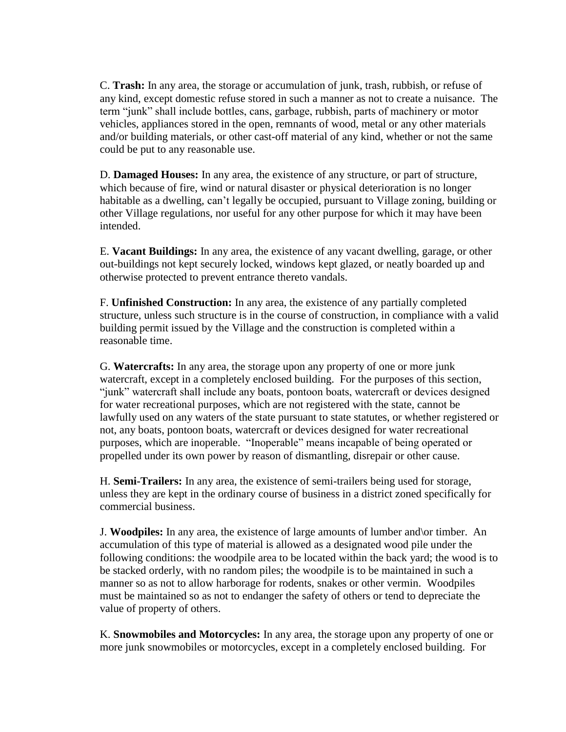C. **Trash:** In any area, the storage or accumulation of junk, trash, rubbish, or refuse of any kind, except domestic refuse stored in such a manner as not to create a nuisance. The term "junk" shall include bottles, cans, garbage, rubbish, parts of machinery or motor vehicles, appliances stored in the open, remnants of wood, metal or any other materials and/or building materials, or other cast-off material of any kind, whether or not the same could be put to any reasonable use.

D. **Damaged Houses:** In any area, the existence of any structure, or part of structure, which because of fire, wind or natural disaster or physical deterioration is no longer habitable as a dwelling, can't legally be occupied, pursuant to Village zoning, building or other Village regulations, nor useful for any other purpose for which it may have been intended.

E. **Vacant Buildings:** In any area, the existence of any vacant dwelling, garage, or other out-buildings not kept securely locked, windows kept glazed, or neatly boarded up and otherwise protected to prevent entrance thereto vandals.

F. **Unfinished Construction:** In any area, the existence of any partially completed structure, unless such structure is in the course of construction, in compliance with a valid building permit issued by the Village and the construction is completed within a reasonable time.

G. **Watercrafts:** In any area, the storage upon any property of one or more junk watercraft, except in a completely enclosed building. For the purposes of this section, "junk" watercraft shall include any boats, pontoon boats, watercraft or devices designed for water recreational purposes, which are not registered with the state, cannot be lawfully used on any waters of the state pursuant to state statutes, or whether registered or not, any boats, pontoon boats, watercraft or devices designed for water recreational purposes, which are inoperable. "Inoperable" means incapable of being operated or propelled under its own power by reason of dismantling, disrepair or other cause.

H. **Semi-Trailers:** In any area, the existence of semi-trailers being used for storage, unless they are kept in the ordinary course of business in a district zoned specifically for commercial business.

J. **Woodpiles:** In any area, the existence of large amounts of lumber and\or timber. An accumulation of this type of material is allowed as a designated wood pile under the following conditions: the woodpile area to be located within the back yard; the wood is to be stacked orderly, with no random piles; the woodpile is to be maintained in such a manner so as not to allow harborage for rodents, snakes or other vermin. Woodpiles must be maintained so as not to endanger the safety of others or tend to depreciate the value of property of others.

K. **Snowmobiles and Motorcycles:** In any area, the storage upon any property of one or more junk snowmobiles or motorcycles, except in a completely enclosed building. For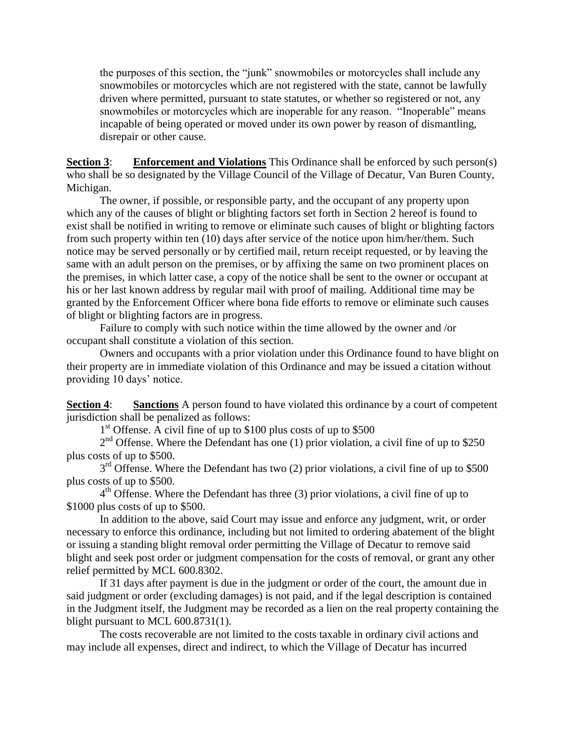the purposes of this section, the "junk" snowmobiles or motorcycles shall include any snowmobiles or motorcycles which are not registered with the state, cannot be lawfully driven where permitted, pursuant to state statutes, or whether so registered or not, any snowmobiles or motorcycles which are inoperable for any reason. "Inoperable" means incapable of being operated or moved under its own power by reason of dismantling, disrepair or other cause.

**Section 3: Enforcement and Violations** This Ordinance shall be enforced by such person(s) who shall be so designated by the Village Council of the Village of Decatur, Van Buren County, Michigan.

The owner, if possible, or responsible party, and the occupant of any property upon which any of the causes of blight or blighting factors set forth in Section 2 hereof is found to exist shall be notified in writing to remove or eliminate such causes of blight or blighting factors from such property within ten (10) days after service of the notice upon him/her/them. Such notice may be served personally or by certified mail, return receipt requested, or by leaving the same with an adult person on the premises, or by affixing the same on two prominent places on the premises, in which latter case, a copy of the notice shall be sent to the owner or occupant at his or her last known address by regular mail with proof of mailing. Additional time may be granted by the Enforcement Officer where bona fide efforts to remove or eliminate such causes of blight or blighting factors are in progress.

Failure to comply with such notice within the time allowed by the owner and /or occupant shall constitute a violation of this section.

Owners and occupants with a prior violation under this Ordinance found to have blight on their property are in immediate violation of this Ordinance and may be issued a citation without providing 10 days' notice.

**Section 4**: **Sanctions** A person found to have violated this ordinance by a court of competent jurisdiction shall be penalized as follows:

1<sup>st</sup> Offense. A civil fine of up to \$100 plus costs of up to \$500

2<sup>nd</sup> Offense. Where the Defendant has one (1) prior violation, a civil fine of up to \$250 plus costs of up to \$500.

3<sup>rd</sup> Offense. Where the Defendant has two (2) prior violations, a civil fine of up to \$500 plus costs of up to \$500.

4<sup>th</sup> Offense. Where the Defendant has three (3) prior violations, a civil fine of up to \$1000 plus costs of up to \$500.

In addition to the above, said Court may issue and enforce any judgment, writ, or order necessary to enforce this ordinance, including but not limited to ordering abatement of the blight or issuing a standing blight removal order permitting the Village of Decatur to remove said blight and seek post order or judgment compensation for the costs of removal, or grant any other relief permitted by MCL 600.8302.

If 31 days after payment is due in the judgment or order of the court, the amount due in said judgment or order (excluding damages) is not paid, and if the legal description is contained in the Judgment itself, the Judgment may be recorded as a lien on the real property containing the blight pursuant to MCL 600.8731(1).

The costs recoverable are not limited to the costs taxable in ordinary civil actions and may include all expenses, direct and indirect, to which the Village of Decatur has incurred